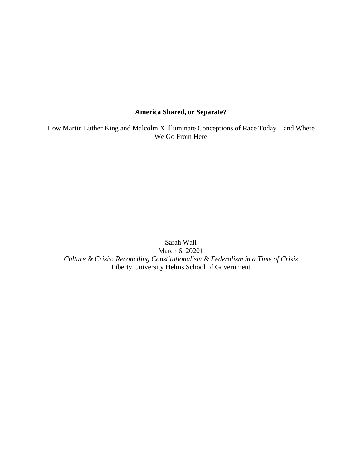# **America Shared, or Separate?**

How Martin Luther King and Malcolm X Illuminate Conceptions of Race Today – and Where We Go From Here

Sarah Wall March 6, 20201 *Culture & Crisis: Reconciling Constitutionalism & Federalism in a Time of Crisis* Liberty University Helms School of Government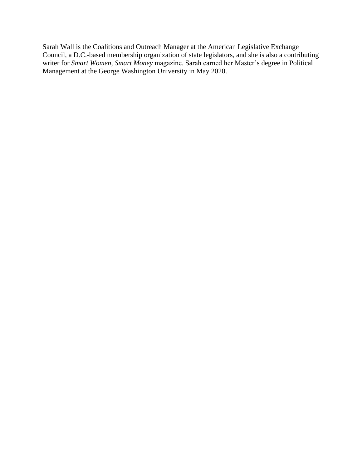Sarah Wall is the Coalitions and Outreach Manager at the American Legislative Exchange Council, a D.C.-based membership organization of state legislators, and she is also a contributing writer for *Smart Women, Smart Money* magazine. Sarah earned her Master's degree in Political Management at the George Washington University in May 2020.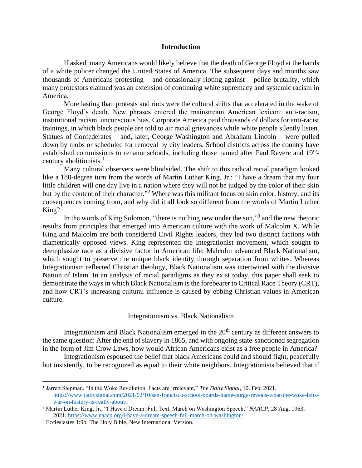## **Introduction**

If asked, many Americans would likely believe that the death of George Floyd at the hands of a white policer changed the United States of America. The subsequent days and months saw thousands of Americans protesting – and occasionally rioting against – police brutality, which many protestors claimed was an extension of continuing white supremacy and systemic racism in America.

More lasting than protests and riots were the cultural shifts that accelerated in the wake of George Floyd's death. New phrases entered the mainstream American lexicon: anti-racism, institutional racism, unconscious bias. Corporate America paid thousands of dollars for anti-racist trainings, in which black people are told to air racial grievances while white people silently listen. Statues of Confederates – and, later, George Washington and Abraham Lincoln – were pulled down by mobs or scheduled for removal by city leaders. School districts across the country have established commissions to rename schools, including those named after Paul Revere and 19<sup>th</sup>century abolitionists.<sup>1</sup>

Many cultural observers were blindsided. The shift to this radical racial paradigm looked like a 180-degree turn from the words of Martin Luther King, Jr.: "I have a dream that my four little children will one day live in a nation where they will not be judged by the color of their skin but by the content of their character."<sup>2</sup> Where was this militant focus on skin color, history, and its consequences coming from, and why did it all look so different from the words of Martin Luther King?

In the words of King Solomon, "there is nothing new under the sun,"<sup>3</sup> and the new rhetoric results from principles that emerged into American culture with the work of Malcolm X. While King and Malcolm are both considered Civil Rights leaders, they led two distinct factions with diametrically opposed views. King represented the Integrationist movement, which sought to deemphasize race as a divisive factor in American life; Malcolm advanced Black Nationalism, which sought to preserve the unique black identity through separation from whites. Whereas Integrationism reflected Christian theology, Black Nationalism was intertwined with the divisive Nation of Islam. In an analysis of racial paradigms as they exist today, this paper shall seek to demonstrate the ways in which Black Nationalism is the forebearer to Critical Race Theory (CRT), and how CRT's increasing cultural influence is caused by ebbing Christian values in American culture.

## Integrationism vs. Black Nationalism

Integrationism and Black Nationalism emerged in the  $20<sup>th</sup>$  century as different answers to the same question: After the end of slavery in 1865, and with ongoing state-sanctioned segregation in the form of Jim Crow Laws, how would African Americans exist as a free people in America?

Integrationism espoused the belief that black Americans could and should fight, peacefully but insistently, to be recognized as equal to their white neighbors. Integrationists believed that if

<sup>1</sup> Jarrett Stepman, "In the Woke Revolution, Facts are Irrelevant," *The Daily Signal*, 10. Feb. 2021, [https://www.dailysignal.com/2021/02/10/san-francisco-school-boards-name-purge-reveals-what-the-woke-lefts](https://www.dailysignal.com/2021/02/10/san-francisco-school-boards-name-purge-reveals-what-the-woke-lefts-war-on-history-is-really-about/)[war-on-history-is-really-about/.](https://www.dailysignal.com/2021/02/10/san-francisco-school-boards-name-purge-reveals-what-the-woke-lefts-war-on-history-is-really-about/)

<sup>2</sup> Martin Luther King, Jr., "I Have a Dream: Full Text, March on Washington Speech," *NAACP*, 28 Aug. 1963, 2021, [https://www.naacp.org/i-have-a-dream-speech-full-march-on-washington/.](https://www.naacp.org/i-have-a-dream-speech-full-march-on-washington/)

<sup>3</sup> Ecclesiastes 1:9b, The Holy Bible, New International Version.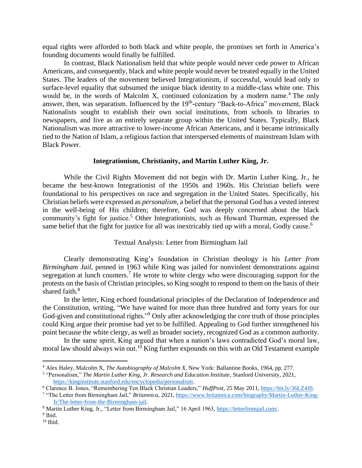equal rights were afforded to both black and white people, the promises set forth in America's founding documents would finally be fulfilled.

In contrast, Black Nationalism held that white people would never cede power to African Americans, and consequently, black and white people would never be treated equally in the United States. The leaders of the movement believed Integrationism, if successful, would lead only to surface-level equality that subsumed the unique black identity to a middle-class white one. This would be, in the words of Malcolm X, continued colonization by a modern name.<sup>4</sup> The only answer, then, was separatism. Influenced by the 19<sup>th</sup>-century "Back-to-Africa" movement, Black Nationalists sought to establish their own social institutions, from schools to libraries to newspapers, and live as an entirely separate group within the United States. Typically, Black Nationalism was more attractive to lower-income African Americans, and it became intrinsically tied to the Nation of Islam, a religious faction that interspersed elements of mainstream Islam with Black Power.

## **Integrationism, Christianity, and Martin Luther King, Jr.**

While the Civil Rights Movement did not begin with Dr. Martin Luther King, Jr., he became the best-known Integrationist of the 1950s and 1960s. His Christian beliefs were foundational to his perspectives on race and segregation in the United States. Specifically, his Christian beliefs were expressed as *personalism*, a belief that the personal God has a vested interest in the well-being of His children; therefore, God was deeply concerned about the black community's fight for justice.<sup>5</sup> Other Integrationists, such as Howard Thurman, expressed the same belief that the fight for justice for all was inextricably tied up with a moral, Godly cause.<sup>6</sup>

## Textual Analysis: Letter from Birmingham Jail

Clearly demonstrating King's foundation in Christian theology is his *Letter from Birmingham Jail*, penned in 1963 while King was jailed for nonviolent demonstrations against segregation at lunch counters.<sup>7</sup> He wrote to white clergy who were discouraging support for the protests on the basis of Christian principles, so King sought to respond to them on the basis of their shared faith.<sup>8</sup>

In the letter, King echoed foundational principles of the Declaration of Independence and the Constitution, writing, "We have waited for more than three hundred and forty years for our God-given and constitutional rights."<sup>9</sup> Only after acknowledging the core truth of those principles could King argue their promise had yet to be fulfilled. Appealing to God further strengthened his point because the white clergy, as well as broader society, recognized God as a common authority.

In the same spirit, King argued that when a nation's laws contradicted God's moral law, moral law should always win out.<sup>10</sup> King further expounds on this with an Old Testament example

<sup>4</sup> Alex Haley, Malcolm X, *The Autobiography of Malcolm X*, New York: Ballantine Books, 1964, pp. 277.

<sup>5</sup> "Personalism," *The Martin Luther King, Jr. Research and Education Institute*, Stanford University, 2021, [https://kinginstitute.stanford.edu/encyclopedia/personalism.](https://kinginstitute.stanford.edu/encyclopedia/personalism)

<sup>6</sup> Clarence B. Jones, "Remembering Ten Black Christian Leaders," *HuffPost*, 25 May 2011, [https://bit.ly/36LZ4J0.](https://bit.ly/36LZ4J0)

<sup>&</sup>lt;sup>7</sup> "The Letter from Birmingham Jail," *Britannica*, 2021[, https://www.britannica.com/biography/Martin-Luther-King-](https://www.britannica.com/biography/Martin-Luther-King-Jr/The-letter-from-the-Birmingham-jail)[Jr/The-letter-from-the-Birmingham-jail.](https://www.britannica.com/biography/Martin-Luther-King-Jr/The-letter-from-the-Birmingham-jail)

<sup>8</sup> Martin Luther King, Jr., "Letter from Birmingham Jail," 16 April 1963, [https://letterfromjail.com/.](https://letterfromjail.com/)

<sup>&</sup>lt;sup>9</sup> Ibid.

 $10$  Ibid.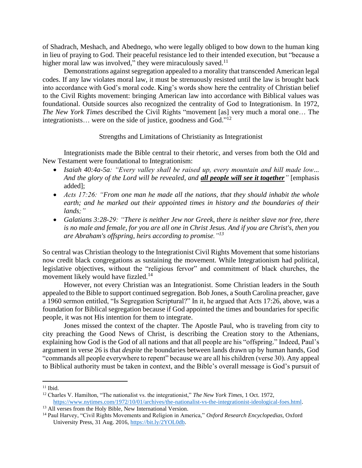of Shadrach, Meshach, and Abednego, who were legally obliged to bow down to the human king in lieu of praying to God. Their peaceful resistance led to their intended execution, but "because a higher moral law was involved," they were miraculously saved. $11$ 

Demonstrations against segregation appealed to a morality that transcended American legal codes. If any law violates moral law, it must be strenuously resisted until the law is brought back into accordance with God's moral code. King's words show here the centrality of Christian belief to the Civil Rights movement: bringing American law into accordance with Biblical values was foundational. Outside sources also recognized the centrality of God to Integrationism. In 1972, *The New York Times* described the Civil Rights "movement [as] very much a moral one… The integrationists... were on the side of justice, goodness and God."<sup>12</sup>

Strengths and Limitations of Christianity as Integrationist

Integrationists made the Bible central to their rhetoric, and verses from both the Old and New Testament were foundational to Integrationism:

- *Isaiah 40:4a-5a: "Every valley shall be raised up, every mountain and hill made low... And the glory of the Lord will be revealed, and all people will see it together"* [emphasis added];
- *Acts 17:26: "From one man he made all the nations, that they should inhabit the whole earth; and he marked out their appointed times in history and the boundaries of their lands;"*
- Galatians 3:28-29: "There is neither Jew nor Greek, there is neither *slave nor free*, there *is no male and female, for you are all one in Christ Jesus. And if you are Christ's, then you are Abraham's offspring, heirs according to promise."<sup>13</sup>*

So central was Christian theology to the Integrationist Civil Rights Movement that some historians now credit black congregations as sustaining the movement. While Integrationism had political, legislative objectives, without the "religious fervor" and commitment of black churches, the movement likely would have fizzled.<sup>14</sup>

However, not every Christian was an Integrationist. Some Christian leaders in the South appealed to the Bible to support continued segregation. Bob Jones, a South Carolina preacher, gave a 1960 sermon entitled, "Is Segregation Scriptural?" In it, he argued that Acts 17:26, above, was a foundation for Biblical segregation because if God appointed the times and boundaries for specific people, it was not His intention for them to integrate.

Jones missed the context of the chapter. The Apostle Paul, who is traveling from city to city preaching the Good News of Christ, is describing the Creation story to the Athenians, explaining how God is the God of all nations and that all people are his "offspring." Indeed, Paul's argument in verse 26 is that *despite* the boundaries between lands drawn up by human hands, God "commands all people everywhere to repent" because we are all his children (verse 30). Any appeal to Biblical authority must be taken in context, and the Bible's overall message is God's pursuit of

 $11$  Ibid.

<sup>12</sup> Charles V. Hamilton, "The nationalist vs. the integrationist," *The New York Times*, 1 Oct. 1972, [https://www.nytimes.com/1972/10/01/archives/the-nationalist-vs-the-integrationist-ideological-foes.html.](https://www.nytimes.com/1972/10/01/archives/the-nationalist-vs-the-integrationist-ideological-foes.html)

<sup>&</sup>lt;sup>13</sup> All verses from the Holy Bible, New International Version.

<sup>14</sup> Paul Harvey, "Civil Rights Movements and Religion in America," *Oxford Research Encyclopedias,* Oxford University Press, 31 Aug. 2016[, https://bit.ly/2YOL0db.](https://bit.ly/2YOL0db)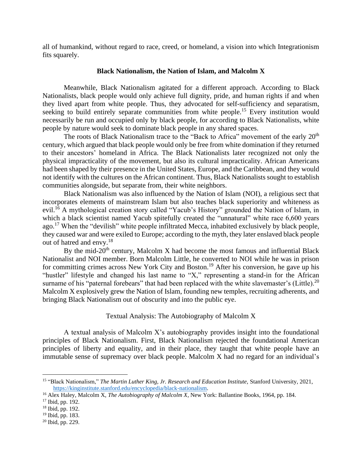all of humankind, without regard to race, creed, or homeland, a vision into which Integrationism fits squarely.

## **Black Nationalism, the Nation of Islam, and Malcolm X**

Meanwhile, Black Nationalism agitated for a different approach. According to Black Nationalists, black people would only achieve full dignity, pride, and human rights if and when they lived apart from white people. Thus, they advocated for self-sufficiency and separatism, seeking to build entirely separate communities from white people.<sup>15</sup> Every institution would necessarily be run and occupied only by black people, for according to Black Nationalists, white people by nature would seek to dominate black people in any shared spaces.

The roots of Black Nationalism trace to the "Back to Africa" movement of the early  $20<sup>th</sup>$ century, which argued that black people would only be free from white domination if they returned to their ancestors' homeland in Africa. The Black Nationalists later recognized not only the physical impracticality of the movement, but also its cultural impracticality. African Americans had been shaped by their presence in the United States, Europe, and the Caribbean, and they would not identify with the cultures on the African continent. Thus, Black Nationalists sought to establish communities alongside, but separate from, their white neighbors.

Black Nationalism was also influenced by the Nation of Islam (NOI), a religious sect that incorporates elements of mainstream Islam but also teaches black superiority and whiteness as evil.<sup>16</sup> A mythological creation story called "Yacub's History" grounded the Nation of Islam, in which a black scientist named Yacub spitefully created the "unnatural" white race 6,600 years ago.<sup>17</sup> When the "devilish" white people infiltrated Mecca, inhabited exclusively by black people, they caused war and were exiled to Europe; according to the myth, they later enslaved black people out of hatred and envy.<sup>18</sup>

By the mid-20<sup>th</sup> century, Malcolm X had become the most famous and influential Black Nationalist and NOI member. Born Malcolm Little, he converted to NOI while he was in prison for committing crimes across New York City and Boston.<sup>19</sup> After his conversion, he gave up his "hustler" lifestyle and changed his last name to "X," representing a stand-in for the African surname of his "paternal forebears" that had been replaced with the white slavemaster's (Little).<sup>20</sup> Malcolm X explosively grew the Nation of Islam, founding new temples, recruiting adherents, and bringing Black Nationalism out of obscurity and into the public eye.

# Textual Analysis: The Autobiography of Malcolm X

A textual analysis of Malcolm X's autobiography provides insight into the foundational principles of Black Nationalism. First, Black Nationalism rejected the foundational American principles of liberty and equality, and in their place, they taught that white people have an immutable sense of supremacy over black people. Malcolm X had no regard for an individual's

<sup>15</sup> "Black Nationalism," *The Martin Luther King, Jr. Research and Education Institute,* Stanford University, 2021, [https://kinginstitute.stanford.edu/encyclopedia/black-nationalism.](https://kinginstitute.stanford.edu/encyclopedia/black-nationalism)

<sup>16</sup> Alex Haley, Malcolm X, *The Autobiography of Malcolm X*, New York: Ballantine Books, 1964, pp. 184.

 $17$  Ibid, pp. 192.

<sup>18</sup> Ibid, pp. 192.

<sup>19</sup> Ibid, pp. 183.

<sup>20</sup> Ibid, pp. 229.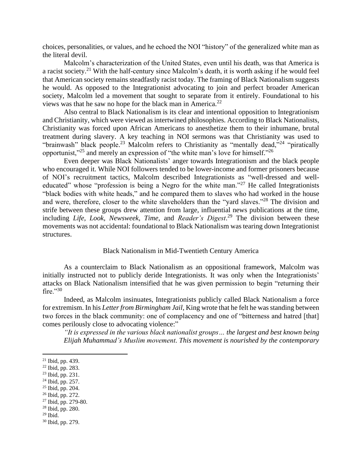choices, personalities, or values, and he echoed the NOI "history" of the generalized white man as the literal devil.

Malcolm's characterization of the United States, even until his death, was that America is a racist society.<sup>21</sup> With the half-century since Malcolm's death, it is worth asking if he would feel that American society remains steadfastly racist today. The framing of Black Nationalism suggests he would. As opposed to the Integrationist advocating to join and perfect broader American society, Malcolm led a movement that sought to separate from it entirely. Foundational to his views was that he saw no hope for the black man in America. $^{22}$ 

Also central to Black Nationalism is its clear and intentional opposition to Integrationism and Christianity, which were viewed as intertwined philosophies. According to Black Nationalists, Christianity was forced upon African Americans to anesthetize them to their inhumane, brutal treatment during slavery. A key teaching in NOI sermons was that Christianity was used to "brainwash" black people.<sup>23</sup> Malcolm refers to Christianity as "mentally dead,"<sup>24</sup> "piratically opportunist,"<sup>25</sup> and merely an expression of "the white man's love for himself."<sup>26</sup>

Even deeper was Black Nationalists' anger towards Integrationism and the black people who encouraged it. While NOI followers tended to be lower-income and former prisoners because of NOI's recruitment tactics, Malcolm described Integrationists as "well-dressed and welleducated" whose "profession is being a Negro for the white man."<sup>27</sup> He called Integrationists "black bodies with white heads," and he compared them to slaves who had worked in the house and were, therefore, closer to the white slaveholders than the "yard slaves."<sup>28</sup> The division and strife between these groups drew attention from large, influential news publications at the time, including *Life, Look, Newsweek, Time*, and *Reader's Digest*. <sup>29</sup> The division between these movements was not accidental: foundational to Black Nationalism was tearing down Integrationist structures.

## Black Nationalism in Mid-Twentieth Century America

As a counterclaim to Black Nationalism as an oppositional framework, Malcolm was initially instructed not to publicly deride Integrationists. It was only when the Integrationists' attacks on Black Nationalism intensified that he was given permission to begin "returning their  $fire. "30"$ 

Indeed, as Malcolm insinuates, Integrationists publicly called Black Nationalism a force for extremism. In his *Letter from Birmingham Jail*, King wrote that he felt he was standing between two forces in the black community: one of complacency and one of "bitterness and hatred [that] comes perilously close to advocating violence:"

*"It is expressed in the various black nationalist groups… the largest and best known being Elijah Muhammad's Muslim movement. This movement is nourished by the contemporary* 

- <sup>25</sup> Ibid, pp. 204.
- <sup>26</sup> Ibid, pp. 272.
- $27$  Ibid, pp. 279-80. <sup>28</sup> Ibid, pp. 280.
- $29$  Ibid.

 $21$  Ibid, pp. 439.

 $22$  Ibid, pp. 283.

<sup>23</sup> Ibid, pp. 231.

 $24$  Ibid, pp. 257.

<sup>30</sup> Ibid, pp. 279.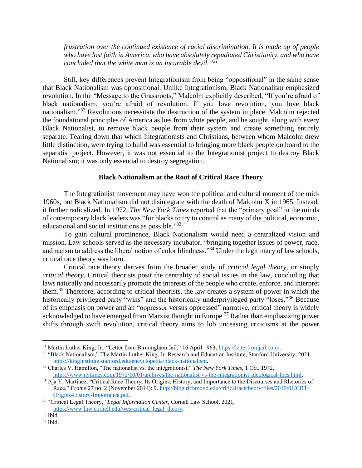*frustration over the continued existence of racial discrimination. It is made up of people who have lost faith in America, who have absolutely repudiated Christianity, and who have concluded that the white man is an incurable devil." 31*

Still, key differences prevent Integrationism from being "oppositional" in the same sense that Black Nationalism was oppositional. Unlike Integrationism, Black Nationalism emphasized revolution. In the "Message to the Grassroots," Malcolm explicitly described, "If you're afraid of black nationalism, you're afraid of revolution. If you love revolution, you love black nationalism."<sup>32</sup> Revolutions necessitate the destruction of the system in place. Malcolm rejected the foundational principles of America as lies from white people, and he sought, along with every Black Nationalist, to remove black people from their system and create something entirely separate. Tearing down that which Integrationists and Christians, between whom Malcolm drew little distinction, were trying to build was essential to bringing more black people on board to the separatist project. However, it was not essential to the Integrationist project to destroy Black Nationalism; it was only essential to destroy segregation.

## **Black Nationalism at the Root of Critical Race Theory**

The Integrationist movement may have won the political and cultural moment of the mid-1960s, but Black Nationalism did not disintegrate with the death of Malcolm X in 1965. Instead, it further radicalized. In 1972, *The New York Times* reported that the "primary goal" in the minds of contemporary black leaders was "for blacks to try to control as many of the political, economic, educational and social institutions as possible."33

To gain cultural prominence, Black Nationalism would need a centralized vision and mission. Law schools served as the necessary incubator, "bringing together issues of power, race, and racism to address the liberal notion of color blindness."<sup>34</sup> Under the legitimacy of law schools, critical race theory was born.

Critical race theory derives from the broader study of *critical legal theory*, or simply *critical theory*. Critical theorists posit the centrality of social issues in the law, concluding that laws naturally and necessarily promote the interests of the people who create, enforce, and interpret them.<sup>35</sup> Therefore, according to critical theorists, the law creates a system of power in which the historically privileged party "wins" and the historically underprivileged party "loses."<sup>36</sup> Because of its emphasis on power and an "oppressor versus oppressed" narrative, critical theory is widely acknowledged to have emerged from Marxist thought in Europe.<sup>37</sup> Rather than emphasizing power shifts through swift revolution, critical theory aims to lob unceasing criticisms at the power

<sup>31</sup> Martin Luther King, Jr., "Letter from Birmingham Jail," 16 April 1963, [https://letterfromjail.com/.](https://letterfromjail.com/)

<sup>32</sup> "Black Nationalism," The Martin Luther King, Jr. Research and Education Institute, Stanford University, 2021, [https://kinginstitute.stanford.edu/encyclopedia/black-nationalism.](https://kinginstitute.stanford.edu/encyclopedia/black-nationalism)

<sup>33</sup> Charles V. Hamilton, "The nationalist vs. the integrationist," *The New York Times*, 1 Oct. 1972, [https://www.nytimes.com/1972/10/01/archives/the-nationalist-vs-the-integrationist-ideological-foes.html.](https://www.nytimes.com/1972/10/01/archives/the-nationalist-vs-the-integrationist-ideological-foes.html)

 $34$  Aja Y. Martinez, "Critical Race Theory: Its Origins, History, and Importance to the Discourses and Rhetorics of Race," *Frame* 27 no. 2 (November 2014): 9. [http://blog.richmond.edu/criticalracetheory/files/2019/01/CRT-](http://blog.richmond.edu/criticalracetheory/files/2019/01/CRT-Origins-History-Importance.pdf)[Origins-History-Importance.pdf.](http://blog.richmond.edu/criticalracetheory/files/2019/01/CRT-Origins-History-Importance.pdf)

<sup>35</sup> "Critical Legal Theory," *Legal Information Center*, Cornell Law School, 2021, [https://www.law.cornell.edu/wex/critical\\_legal\\_theory.](https://www.law.cornell.edu/wex/critical_legal_theory)

<sup>36</sup> Ibid.

 $37$  Ibid.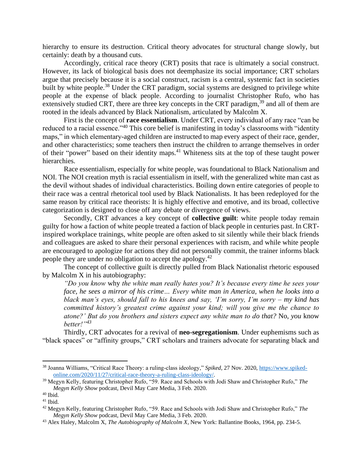hierarchy to ensure its destruction. Critical theory advocates for structural change slowly, but certainly: death by a thousand cuts.

Accordingly, critical race theory (CRT) posits that race is ultimately a social construct. However, its lack of biological basis does not deemphasize its social importance; CRT scholars argue that precisely because it is a social construct, racism is a central, systemic fact in societies built by white people.<sup>38</sup> Under the CRT paradigm, social systems are designed to privilege white people at the expense of black people. According to journalist Christopher Rufo, who has extensively studied CRT, there are three key concepts in the CRT paradigm,  $39$  and all of them are rooted in the ideals advanced by Black Nationalism, articulated by Malcolm X.

First is the concept of **race essentialism**. Under CRT, every individual of any race "can be reduced to a racial essence."<sup>40</sup> This core belief is manifesting in today's classrooms with "identity" maps," in which elementary-aged children are instructed to map every aspect of their race, gender, and other characteristics; some teachers then instruct the children to arrange themselves in order of their "power" based on their identity maps.<sup>41</sup> Whiteness sits at the top of these taught power hierarchies.

Race essentialism, especially for white people, was foundational to Black Nationalism and NOI. The NOI creation myth is racial essentialism in itself, with the generalized white man cast as the devil without shades of individual characteristics. Boiling down entire categories of people to their race was a central rhetorical tool used by Black Nationalists. It has been redeployed for the same reason by critical race theorists: It is highly effective and emotive, and its broad, collective categorization is designed to close off any debate or divergence of views.

Secondly, CRT advances a key concept of **collective guilt**: white people today remain guilty for how a faction of white people treated a faction of black people in centuries past. In CRTinspired workplace trainings, white people are often asked to sit silently while their black friends and colleagues are asked to share their personal experiences with racism, and while white people are encouraged to apologize for actions they did not personally commit, the trainer informs black people they are under no obligation to accept the apology.<sup>42</sup>

The concept of collective guilt is directly pulled from Black Nationalist rhetoric espoused by Malcolm X in his autobiography:

*"Do you know* why *the white man really hates you? It's because every time he sees your face, he sees a mirror of his crime… Every white man in America, when he looks into a black man's eyes, should fall to his knees and say, 'I'm sorry, I'm sorry – my kind has committed history's greatest crime against your kind; will you give me the chance to atone?' But do you brothers and sisters expect any white man to do that?* No, *you* know *better!"<sup>43</sup>*

Thirdly, CRT advocates for a revival of **neo-segregationism**. Under euphemisms such as "black spaces" or "affinity groups," CRT scholars and trainers advocate for separating black and

<sup>38</sup> Joanna Williams, "Critical Race Theory: a ruling-class ideology," *Spiked*, 27 Nov. 2020[, https://www.spiked](https://www.spiked-online.com/2020/11/27/critical-race-theory-a-ruling-class-ideology/)[online.com/2020/11/27/critical-race-theory-a-ruling-class-ideology/.](https://www.spiked-online.com/2020/11/27/critical-race-theory-a-ruling-class-ideology/)

<sup>39</sup> Megyn Kelly, featuring Christopher Rufo, "59. Race and Schools with Jodi Shaw and Christopher Rufo," *The Megyn Kelly Show* podcast, Devil May Care Media, 3 Feb. 2020.

 $^{40}$  Ibid.

 $41$  Ibid.

<sup>42</sup> Megyn Kelly, featuring Christopher Rufo, "59. Race and Schools with Jodi Shaw and Christopher Rufo," *The Megyn Kelly Show* podcast, Devil May Care Media, 3 Feb. 2020.

<sup>43</sup> Alex Haley, Malcolm X, *The Autobiography of Malcolm X*, New York: Ballantine Books, 1964, pp. 234-5.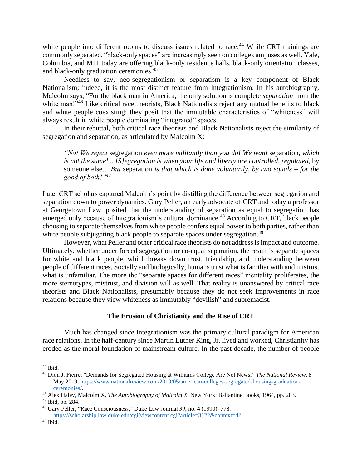white people into different rooms to discuss issues related to race.<sup>44</sup> While CRT trainings are commonly separated, "black-only spaces" are increasingly seen on college campuses as well. Yale, Columbia, and MIT today are offering black-only residence halls, black-only orientation classes, and black-only graduation ceremonies.<sup>45</sup>

Needless to say, neo-segregationism or separatism is a key component of Black Nationalism; indeed, it is the most distinct feature from Integrationism. In his autobiography, Malcolm says, "For the black man in America, the only solution is complete *separation* from the white man!"<sup>46</sup> Like critical race theorists, Black Nationalists reject any mutual benefits to black and white people coexisting; they posit that the immutable characteristics of "whiteness" will always result in white people dominating "integrated" spaces.

In their rebuttal, both critical race theorists and Black Nationalists reject the similarity of segregation and separation, as articulated by Malcolm X:

*"No! We reject* segregation *even more militantly than you do! We want* separation*, which is not the same!... [S]egregation is when your life and liberty are controlled, regulated,* by someone else*… But* separation *is that which is done voluntarily, by two equals – for the good of both!"<sup>47</sup>*

Later CRT scholars captured Malcolm's point by distilling the difference between segregation and separation down to power dynamics. Gary Peller, an early advocate of CRT and today a professor at Georgetown Law, posited that the understanding of separation as equal to segregation has emerged only because of Integrationism's cultural dominance.<sup>48</sup> According to CRT, black people choosing to separate themselves from white people confers equal power to both parties, rather than white people subjugating black people to separate spaces under segregation.<sup>49</sup>

However, what Peller and other critical race theorists do not address is impact and outcome. Ultimately, whether under forced segregation or co-equal separation, the result is separate spaces for white and black people, which breaks down trust, friendship, and understanding between people of different races. Socially and biologically, humans trust what is familiar with and mistrust what is unfamiliar. The more the "separate spaces for different races" mentality proliferates, the more stereotypes, mistrust, and division will as well. That reality is unanswered by critical race theorists and Black Nationalists, presumably because they do not seek improvements in race relations because they view whiteness as immutably "devilish" and supremacist.

## **The Erosion of Christianity and the Rise of CRT**

Much has changed since Integrationism was the primary cultural paradigm for American race relations. In the half-century since Martin Luther King, Jr. lived and worked, Christianity has eroded as the moral foundation of mainstream culture. In the past decade, the number of people

<sup>44</sup> Ibid.

<sup>45</sup> Dion J. Pierre, "Demands for Segregated Housing at Williams College Are Not News," *The National Review*, 8 May 2019, [https://www.nationalreview.com/2019/05/american-colleges-segregated-housing-graduation](https://www.nationalreview.com/2019/05/american-colleges-segregated-housing-graduation-ceremonies/)[ceremonies/.](https://www.nationalreview.com/2019/05/american-colleges-segregated-housing-graduation-ceremonies/) 

<sup>46</sup> Alex Haley, Malcolm X, *The Autobiography of Malcolm X*, New York: Ballantine Books, 1964, pp. 283. <sup>47</sup> Ibid, pp. 284.

<sup>48</sup> Gary Peller, "Race Consciousness," Duke Law Journal 39, no. 4 (1990): 778. [https://scholarship.law.duke.edu/cgi/viewcontent.cgi?article=3122&context=dlj.](https://scholarship.law.duke.edu/cgi/viewcontent.cgi?article=3122&context=dlj)

<sup>49</sup> Ibid.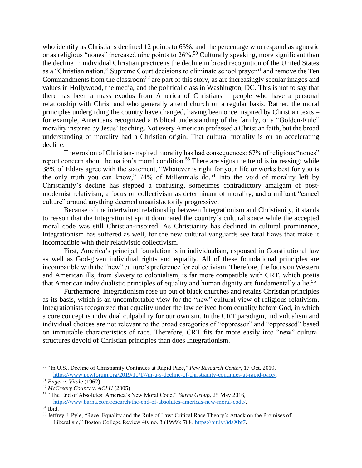who identify as Christians declined 12 points to 65%, and the percentage who respond as agnostic or as religious "nones" increased nine points to  $26\%$ .<sup>50</sup> Culturally speaking, more significant than the decline in individual Christian practice is the decline in broad recognition of the United States as a "Christian nation." Supreme Court decisions to eliminate school prayer<sup>51</sup> and remove the Ten Commandments from the classroom<sup>52</sup> are part of this story, as are increasingly secular images and values in Hollywood, the media, and the political class in Washington, DC. This is not to say that there has been a mass exodus from America of Christians – people who have a personal relationship with Christ and who generally attend church on a regular basis. Rather, the moral principles undergirding the country have changed, having been once inspired by Christian texts – for example, Americans recognized a Biblical understanding of the family, or a "Golden-Rule" morality inspired by Jesus' teaching. Not every American professed a Christian faith, but the broad understanding of morality had a Christian origin. That cultural morality is on an accelerating decline.

The erosion of Christian-inspired morality has had consequences: 67% of religious "nones" report concern about the nation's moral condition.<sup>53</sup> There are signs the trend is increasing; while 38% of Elders agree with the statement, "Whatever is right for your life or works best for you is the only truth you can know," 74% of Millennials do. <sup>54</sup> Into the void of morality left by Christianity's decline has stepped a confusing, sometimes contradictory amalgam of postmodernist relativism, a focus on collectivism as determinant of morality, and a militant "cancel culture" around anything deemed unsatisfactorily progressive.

Because of the intertwined relationship between Integrationism and Christianity, it stands to reason that the Integrationist spirit dominated the country's cultural space while the accepted moral code was still Christian-inspired. As Christianity has declined in cultural prominence, Integrationism has suffered as well, for the new cultural vanguards see fatal flaws that make it incompatible with their relativistic collectivism.

First, America's principal foundation is in individualism, espoused in Constitutional law as well as God-given individual rights and equality. All of these foundational principles are incompatible with the "new" culture's preference for collectivism. Therefore, the focus on Western and American ills, from slavery to colonialism, is far more compatible with CRT, which posits that American individualistic principles of equality and human dignity are fundamentally a lie.<sup>55</sup>

Furthermore, Integrationism rose up out of black churches and retains Christian principles as its basis, which is an uncomfortable view for the "new" cultural view of religious relativism. Integrationists recognized that equality under the law derived from equality before God, in which a core concept is individual culpability for our own sin. In the CRT paradigm, individualism and individual choices are not relevant to the broad categories of "oppressor" and "oppressed" based on immutable characteristics of race. Therefore, CRT fits far more easily into "new" cultural structures devoid of Christian principles than does Integrationism.

<sup>50</sup> "In U.S., Decline of Christianity Continues at Rapid Pace," *Pew Research Center*, 17 Oct. 2019, [https://www.pewforum.org/2019/10/17/in-u-s-decline-of-christianity-continues-at-rapid-pace/.](https://www.pewforum.org/2019/10/17/in-u-s-decline-of-christianity-continues-at-rapid-pace/)

<sup>51</sup> *Engel v. Vitale* (1962)

<sup>52</sup> *McCreary County v. ACLU* (2005)

<sup>53</sup> "The End of Absolutes: America's New Moral Code," *Barna Group,* 25 May 2016, [https://www.barna.com/research/the-end-of-absolutes-americas-new-moral-code/.](https://www.barna.com/research/the-end-of-absolutes-americas-new-moral-code/)

<sup>54</sup> Ibid.

<sup>55</sup> Jeffrey J. Pyle, "Race, Equality and the Rule of Law: Critical Race Theory's Attack on the Promises of Liberalism," Boston College Review 40, no. 3 (1999): 788[. https://bit.ly/3daXbt7.](https://bit.ly/3daXbt7)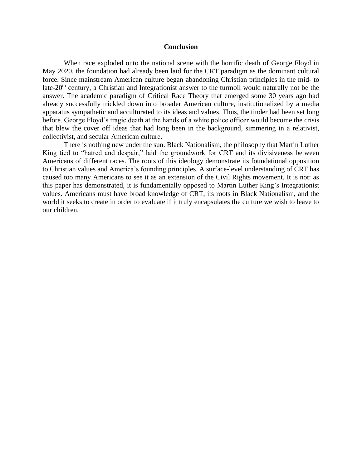## **Conclusion**

When race exploded onto the national scene with the horrific death of George Floyd in May 2020, the foundation had already been laid for the CRT paradigm as the dominant cultural force. Since mainstream American culture began abandoning Christian principles in the mid- to late-20<sup>th</sup> century, a Christian and Integrationist answer to the turmoil would naturally not be the answer. The academic paradigm of Critical Race Theory that emerged some 30 years ago had already successfully trickled down into broader American culture, institutionalized by a media apparatus sympathetic and acculturated to its ideas and values. Thus, the tinder had been set long before. George Floyd's tragic death at the hands of a white police officer would become the crisis that blew the cover off ideas that had long been in the background, simmering in a relativist, collectivist, and secular American culture.

There is nothing new under the sun. Black Nationalism, the philosophy that Martin Luther King tied to "hatred and despair," laid the groundwork for CRT and its divisiveness between Americans of different races. The roots of this ideology demonstrate its foundational opposition to Christian values and America's founding principles. A surface-level understanding of CRT has caused too many Americans to see it as an extension of the Civil Rights movement. It is not: as this paper has demonstrated, it is fundamentally opposed to Martin Luther King's Integrationist values. Americans must have broad knowledge of CRT, its roots in Black Nationalism, and the world it seeks to create in order to evaluate if it truly encapsulates the culture we wish to leave to our children.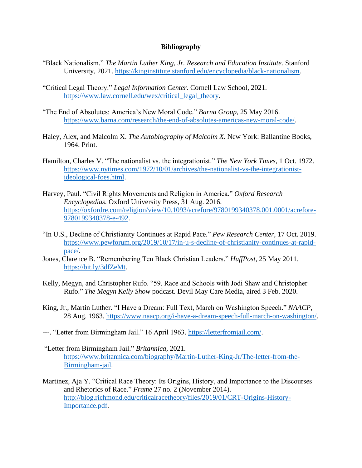# **Bibliography**

- "Black Nationalism." *The Martin Luther King, Jr. Research and Education Institute.* Stanford University, 2021. [https://kinginstitute.stanford.edu/encyclopedia/black-nationalism.](https://kinginstitute.stanford.edu/encyclopedia/black-nationalism)
- "Critical Legal Theory." *Legal Information Center*. Cornell Law School, 2021. [https://www.law.cornell.edu/wex/critical\\_legal\\_theory.](https://www.law.cornell.edu/wex/critical_legal_theory)
- "The End of Absolutes: America's New Moral Code." *Barna Group,* 25 May 2016. [https://www.barna.com/research/the-end-of-absolutes-americas-new-moral-code/.](https://www.barna.com/research/the-end-of-absolutes-americas-new-moral-code/)
- Haley, Alex, and Malcolm X. *The Autobiography of Malcolm X*. New York: Ballantine Books, 1964. Print.
- Hamilton, Charles V. "The nationalist vs. the integrationist." *The New York Times*, 1 Oct. 1972. [https://www.nytimes.com/1972/10/01/archives/the-nationalist-vs-the-integrationist](https://www.nytimes.com/1972/10/01/archives/the-nationalist-vs-the-integrationist-ideological-foes.html)[ideological-foes.html.](https://www.nytimes.com/1972/10/01/archives/the-nationalist-vs-the-integrationist-ideological-foes.html)
- Harvey, Paul. "Civil Rights Movements and Religion in America." *Oxford Research Encyclopedias.* Oxford University Press, 31 Aug. 2016. [https://oxfordre.com/religion/view/10.1093/acrefore/9780199340378.001.0001/acrefore-](https://oxfordre.com/religion/view/10.1093/acrefore/9780199340378.001.0001/acrefore-9780199340378-e-492)[9780199340378-e-492.](https://oxfordre.com/religion/view/10.1093/acrefore/9780199340378.001.0001/acrefore-9780199340378-e-492)
- "In U.S., Decline of Christianity Continues at Rapid Pace." *Pew Research Center*, 17 Oct. 2019. [https://www.pewforum.org/2019/10/17/in-u-s-decline-of-christianity-continues-at-rapid](https://www.pewforum.org/2019/10/17/in-u-s-decline-of-christianity-continues-at-rapid-pace/)[pace/.](https://www.pewforum.org/2019/10/17/in-u-s-decline-of-christianity-continues-at-rapid-pace/)
- Jones, Clarence B. "Remembering Ten Black Christian Leaders." *HuffPost*, 25 May 2011. [https://bit.ly/3dfZeMt.](https://bit.ly/3dfZeMt)
- Kelly, Megyn, and Christopher Rufo. "59. Race and Schools with Jodi Shaw and Christopher Rufo." *The Megyn Kelly Show* podcast. Devil May Care Media, aired 3 Feb. 2020.
- King, Jr., Martin Luther. "I Have a Dream: Full Text, March on Washington Speech." *NAACP*, 28 Aug. 1963. [https://www.naacp.org/i-have-a-dream-speech-full-march-on-washington/.](https://www.naacp.org/i-have-a-dream-speech-full-march-on-washington/)
- ---. "Letter from Birmingham Jail." 16 April 1963. [https://letterfromjail.com/.](https://letterfromjail.com/)
- "Letter from Birmingham Jail." *Britannica,* 2021. [https://www.britannica.com/biography/Martin-Luther-King-Jr/The-letter-from-the-](https://www.britannica.com/biography/Martin-Luther-King-Jr/The-letter-from-the-Birmingham-jail)[Birmingham-jail.](https://www.britannica.com/biography/Martin-Luther-King-Jr/The-letter-from-the-Birmingham-jail)
- Martinez, Aja Y. "Critical Race Theory: Its Origins, History, and Importance to the Discourses and Rhetorics of Race." *Frame* 27 no. 2 (November 2014). [http://blog.richmond.edu/criticalracetheory/files/2019/01/CRT-Origins-History-](http://blog.richmond.edu/criticalracetheory/files/2019/01/CRT-Origins-History-Importance.pdf)[Importance.pdf.](http://blog.richmond.edu/criticalracetheory/files/2019/01/CRT-Origins-History-Importance.pdf)